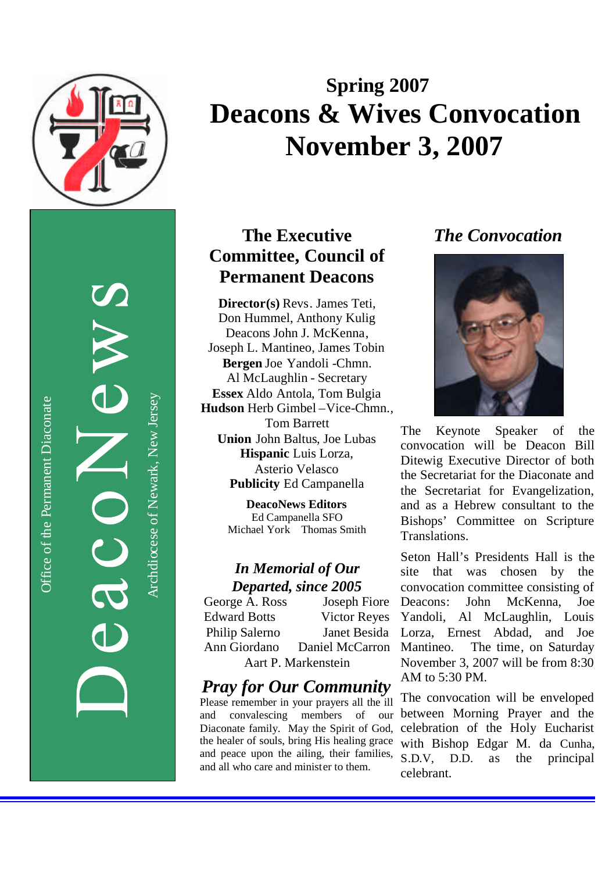

Archdiocese of Newark, New JerseyArchdiocese of Newark, New Jersey

# **Spring 200 7 Deacons & Wives Convocation November 3, 2007**

## **The Executive Committee , Council of Permanent Deacons**

**Director(s)** Revs. James Teti, Don Hummel, Anthony Kulig Deacon s John J. McKenna , Joseph L. Mantineo, James Tobin **Bergen** Joe Yandoli -Chmn . Al McLaughlin - Secretary **Essex** Aldo Antola, Tom Bulgia Hudson Herb Gimbel-Vice-Chmn., Tom Barrett **Union** John Baltus, Joe Lubas **Hispanic** Luis Lorza, Asterio Velasco **Publicity** Ed Campanella

> **DeacoNews Editors** Ed Campanella SFO Michael Yor k Thomas Smith

# *In Memorial of Our*

*Departed, since 2005*<br>ge A. Ross Joseph Fiore George A. Ross Edward Botts Victor Reyes Philip Salerno Janet Besida Ann Giordano Daniel McCarron Aart P. Markenstein

## *Pray for Our Community*

Please remember in your prayers all the ill and convalescing members of our Diaconate family. May the Spirit of God, the healer of souls, bring His healing grace and peace upon the ailing, their families, and all who care and minister to them.

## *The Convocation*



The Keynote Speaker of the convocation will be Deacon Bill Ditewig Executive Director of both the Secretariat for the Diaconate and the Secretariat for Evangelization, and as a Hebrew consultant to the Bishops' Committee on Scripture Translations.

Seton Hall's President s Hall is the site that was chosen by the convocation committee consisting of Deacons: John McKenna, Joe Yandoli, Al McLaughlin, Louis Lorza, Ernest Abdad, and Joe Mantineo. The time, on Saturday November 3, 2007 will be from 8:30 AM to 5:30 PM.

The convocation will be enveloped between Morning Prayer and the celebration of the Holy Eucharist with Bishop Edgar M. da Cunha, S.D.V, D.D. as the principal celebrant.

Office of the Permanent Diaconate Office of the Permanent Diaconate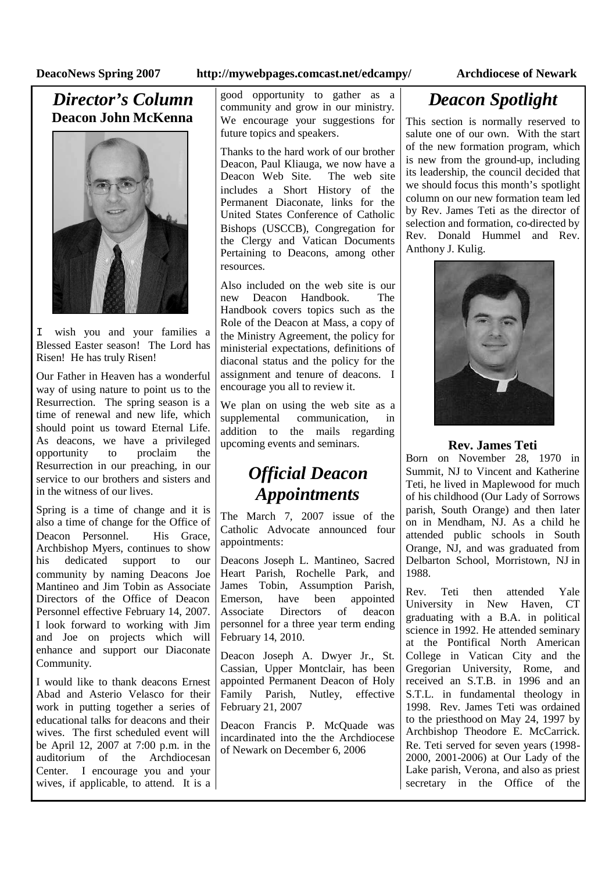### **DeacoNews Spring 2007 http://mywebpages.comcast.net/edcampy/ Archdiocese of Newark**

### *Director's Column* **Deacon John McKenna**



I wish you and your families a Blessed Easter season! The Lord has Risen! He has truly Risen!

Our Father in Heaven has a wonderful way of using nature to point us to the Resurrection. The spring season is a time of renewal and new life, which should point us toward Eternal Life. As deacons, we have a privileged opportunity to proclaim the Resurrection in our preaching, in our service to our brothers and sisters and in the witness of our lives.

Spring is a time of change and it is also a time of change for the Office of Deacon Personnel. His Grace Archbishop Myers, continues to show his dedicated support to our community by naming Deacons Joe Mantineo and Jim Tobin as Associate Directors of the Office of Deacon Personnel effective February 14, 2007. I look forward to working with Jim and Joe on projects which will enhance and support our Diaconate Community.

I would like to thank deacons Ernest Abad and Asterio Velasco for their work in putting together a series of educational talks for deacons and their wives. The first scheduled event will be April 12, 2007 at 7:00 p.m. in the auditorium of the Archdiocesan Center. I encourage you and your wives, if applicable, to attend. It is a

good opportunity to gather as a community and grow in our ministry. We encourage your suggestions for future topics and speakers.

Thanks to the hard work of our brother Deacon, Paul Kliauga, we now have a<br>Deacon Web Site. The web site Deacon Web Site. includes a Short History of the Permanent Diaconate, links for the United States Conference of Catholic Bishops (USCCB), Congregation for the Clergy and Vatican Documents Pertaining to Deacons, among other resources.

Also included on the web site is our new Deacon Handbook. The Handbook covers topics such as the Role of the Deacon at Mass, a copy of the Ministry Agreement, the policy for ministerial expectations, definitions of diaconal status and the policy for the assignment and tenure of deacons. I encourage you all to review it.

We plan on using the web site as a supplemental communication, in addition to the mails regarding upcoming events and seminars.

## *Official Deacon Appointments*

The March 7, 2007 issue of the Catholic Advocate announced four appointments:

Deacons Joseph L. Mantineo, Sacred Heart Parish, Rochelle Park, and James Tobin, Assumption Parish, Emerson, have been appointed<br>Associate Directors of deacon Associate Directors of personnel for a three year term ending February 14, 2010.

Deacon Joseph A. Dwyer Jr., St. Cassian, Upper Montclair, has been appointed Permanent Deacon of Holy Family Parish, Nutley, effective February 21, 2007

Deacon Francis P. McQuade was incardinated into the the Archdiocese of Newark on December 6, 2006

## *Deacon Spotlight*

This section is normally reserved to salute one of our own. With the start of the new formation program, which is new from the ground-up, including its leadership, the council decided that we should focus this month's spotlight column on our new formation team led by Rev. James Teti as the director of selection and formation, co-directed by Rev. Donald Hummel and Rev. Anthony J. Kulig.



### **Rev. James Teti**

Born on November 28, 1970 in Summit, NJ to Vincent and Katherine Teti, he lived in Maplewood for much of his childhood (Our Lady of Sorrows parish, South Orange) and then later on in Mendham, NJ. As a child he attended public schools in South Orange, NJ, and was graduated from Delbarton School, Morristown, NJ in 1988.

Rev. Teti then attended Yale University in New Haven, CT graduating with a B.A. in political science in 1992. He attended seminary at the Pontifical North American College in Vatican City and the Gregorian University, Rome, and received an S.T.B. in 1996 and an S.T.L. in fundamental theology in 1998. Rev. James Teti was ordained to the priesthood on May 24, 1997 by Archbishop Theodore E. McCarrick. Re. Teti served for seven years (1998- 2000, 2001-2006) at Our Lady of the Lake parish, Verona, and also as priest secretary in the Office of the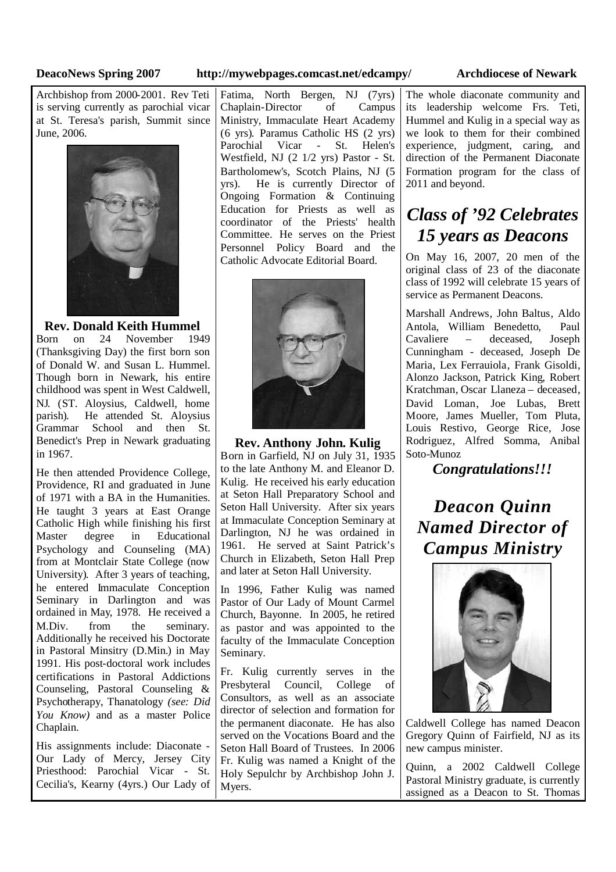### **DeacoNews Spring 2007 http://mywebpages.comcast.net/edcampy/ Archdiocese of Newark**

Archbishop from 2000-2001. Rev Teti is serving currently as parochial vicar at St. Teresa's parish, Summit since June, 2006.



**Rev. Donald Keith Hummel**<br>orn on 24 November 1949 Born on 24 November (Thanksgiving Day) the first born son of Donald W. and Susan L. Hummel. Though born in Newark, his entire childhood was spent in West Caldwell, NJ. (ST. Aloysius, Caldwell, home parish). He attended St. Aloysius Grammar School and then St. Benedict's Prep in Newark graduating in 1967.

He then attended Providence College, Providence, RI and graduated in June of 1971 with a BA in the Humanities. He taught 3 years at East Orange Catholic High while finishing his first Master degree in Educational Psychology and Counseling (MA) from at Montclair State College (now University). After 3 years of teaching, he entered Immaculate Conception Seminary in Darlington and was ordained in May, 1978. He received a M.Div. from the seminary. Additionally he received his Doctorate in Pastoral Minsitry (D.Min.) in May 1991. His post-doctoral work includes certifications in Pastoral Addictions Counseling, Pastoral Counseling & Psychotherapy, Thanatology *(see: Did You Know)* and as a master Police Chaplain.

His assignments include: Diaconate - Our Lady of Mercy, Jersey City Priesthood: Parochial Vicar - St. Cecilia's, Kearny (4yrs.) Our Lady of

Fatima, North Bergen, NJ (7yrs) Chaplain-Director of Campus Ministry, Immaculate Heart Academy (6 yrs). Paramus Catholic HS (2 yrs) Parochial Vicar - St. Helen's Westfield, NJ (2 1/2 yrs) Pastor - St. Bartholomew's, Scotch Plains, NJ (5 yrs). He is currently Director of Ongoing Formation & Continuing Education for Priests as well as coordinator of the Priests' health Committee. He serves on the Priest Personnel Policy Board and the Catholic Advocate Editorial Board.



**Rev. Anthony John. Kulig** Born in Garfield, NJ on July 31, 1935 to the late Anthony M. and Eleanor D. Kulig. He received his early education at Seton Hall Preparatory School and Seton Hall University. After six years at Immaculate Conception Seminary at Darlington, NJ he was ordained in 1961. He served at Saint Patrick's Church in Elizabeth, Seton Hall Prep and later at Seton Hall University.

In 1996, Father Kulig was named Pastor of Our Lady of Mount Carmel Church, Bayonne. In 2005, he retired as pastor and was appointed to the faculty of the Immaculate Conception Seminary.

Fr. Kulig currently serves in the Presbyteral Council, College of Consultors, as well as an associate director of selection and formation for the permanent diaconate. He has also served on the Vocations Board and the Seton Hall Board of Trustees. In 2006 Fr. Kulig was named a Knight of the Holy Sepulchr by Archbishop John J. Myers.

The whole diaconate community and its leadership welcome Frs. Teti, Hummel and Kulig in a special way as we look to them for their combined experience, judgment, caring, and direction of the Permanent Diaconate Formation program for the class of 2011 and beyond.

## *Class of '92 Celebrates 15 years as Deacons*

On May 16, 2007, 20 men of the original class of 23 of the diaconate class of 1992 will celebrate 15 years of service as Permanent Deacons.

Marshall Andrews, John Baltus, Aldo Antola, William Benedetto, Paul  $-$  deceased, Cunningham - deceased, Joseph De Maria, Lex Ferrauiola, Frank Gisoldi, Alonzo Jackson, Patrick King, Robert Kratchman, Oscar Llaneza – deceased, David Loman, Joe Lubas, Brett Moore, James Mueller, Tom Pluta, Louis Restivo, George Rice, Jose Rodriguez, Alfred Somma, Anibal Soto-Munoz

*Congratulations!!!*

*Deacon Quinn Named Director of Campus Ministry*



Caldwell College has named Deacon Gregory Quinn of Fairfield, NJ as its new campus minister.

Quinn, a 2002 Caldwell College Pastoral Ministry graduate, is currently assigned as a Deacon to St. Thomas